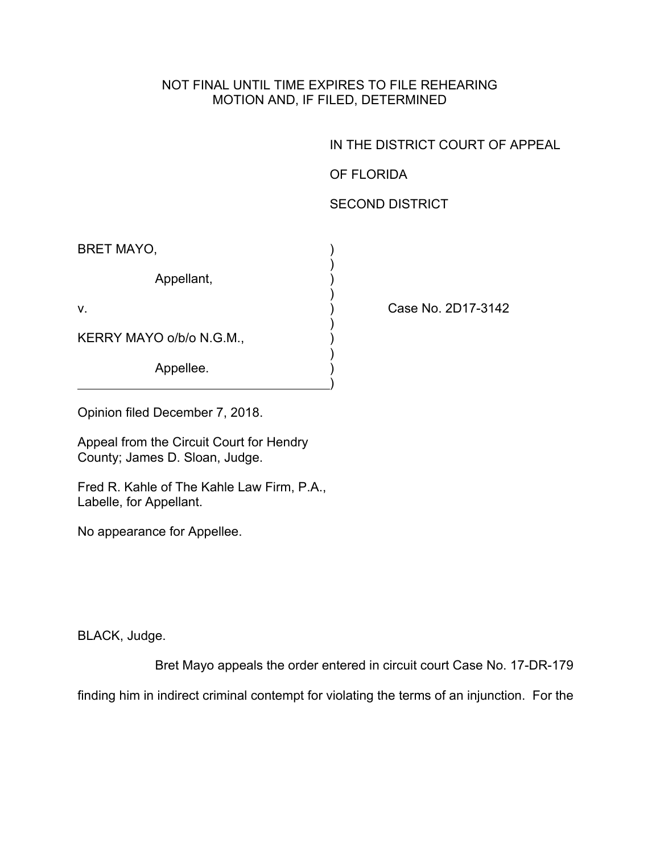## NOT FINAL UNTIL TIME EXPIRES TO FILE REHEARING MOTION AND, IF FILED, DETERMINED

IN THE DISTRICT COURT OF APPEAL

OF FLORIDA

## SECOND DISTRICT

| <b>BRET MAYO,</b>        |  |
|--------------------------|--|
| Appellant,               |  |
| $V_{\cdot}$              |  |
| KERRY MAYO o/b/o N.G.M., |  |
| Appellee.                |  |

Case No. 2D17-3142

Opinion filed December 7, 2018.

Appeal from the Circuit Court for Hendry County; James D. Sloan, Judge.

Fred R. Kahle of The Kahle Law Firm, P.A., Labelle, for Appellant.

No appearance for Appellee.

BLACK, Judge.

Bret Mayo appeals the order entered in circuit court Case No. 17-DR-179

finding him in indirect criminal contempt for violating the terms of an injunction. For the